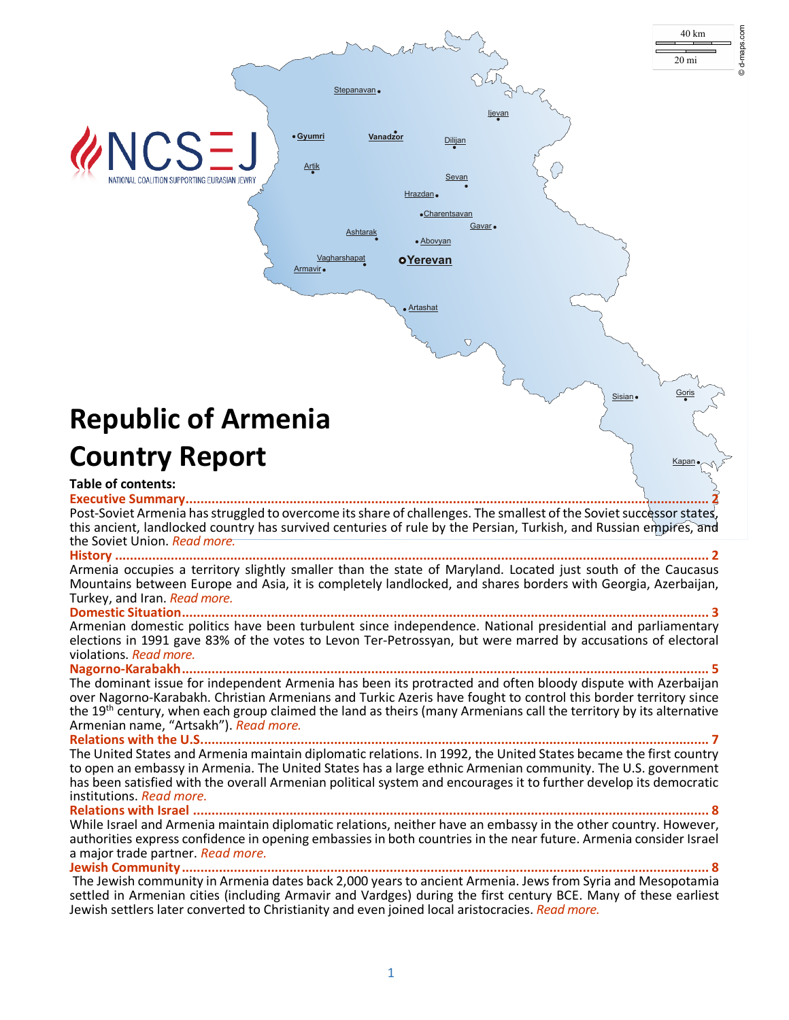

©d-maps.com

**History [................................................................................................................................................................](#page-1-1) 2**

Armenia occupies a territory slightly smaller than the state of Maryland. Located just south of the Caucasus Mountains between Europe and Asia, it is completely landlocked, and shares borders with Georgia, Azerbaijan, Turkey, and Iran. *[Read more.](#page-1-1)*

**[Domestic Situation..............................................................................................................................................](#page-2-0) 3** Armenian domestic politics have been turbulent since independence. National presidential and parliamentary elections in 1991 gave 83% of the votes to Levon Ter-Petrossyan, but were marred by accusations of electoral violations. *[Read more.](#page-2-0)*

**[Nagorno-Karabakh..............................................................................................................................................](#page-5-0) 5**

The dominant issue for independent Armenia has been its protracted and often bloody dispute with Azerbaijan over Nagorno-Karabakh. Christian Armenians and Turkic Azeris have fought to control this border territory since the 19<sup>th</sup> century, when each group claimed the land as theirs (many Armenians call the territory by its alternative Armenian name, "Artsakh"). *[Read more.](#page-5-0)*

**[Relations with the U.S.........................................................................................................................................](#page-6-0) 7** The United States and Armenia maintain diplomatic relations. In 1992, the United States became the first country to open an embassy in Armenia. The United States has a large ethnic Armenian community. The U.S. government has been satisfied with the overall Armenian political system and encourages it to further develop its democratic institutions. *[Read more.](#page-6-0)*

**Relations with Israel ........** 

While Israel and Armenia maintain diplomatic relations, neither have an embassy in the other country. However, authorities express confidence in opening embassies in both countries in the near future. Armenia consider Israel a major trade partner. *[Read more.](#page-8-0)*

**[Jewish Community..............................................................................................................................................](#page-9-0) 8** The Jewish community in Armenia dates back 2,000 years to ancient Armenia. Jews from Syria and Mesopotamia settled in Armenian cities (including Armavir and Vardges) during the first century BCE. Many of these earliest Jewish settlers later converted to Christianity and even joined local aristocracies. *[Read more.](#page-9-0)*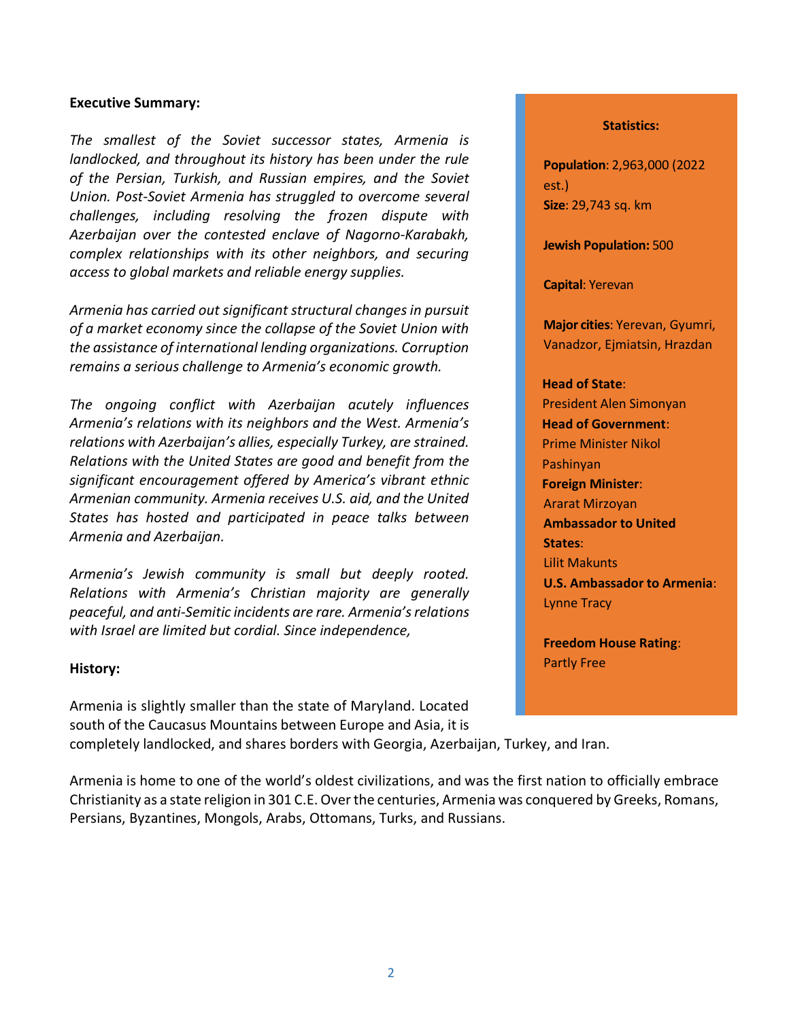### <span id="page-1-0"></span>**Executive Summary:**

*The smallest of the Soviet successor states, Armenia is landlocked, and throughout its history has been under the rule of the Persian, Turkish, and Russian empires, and the Soviet Union. Post-Soviet Armenia has struggled to overcome several challenges, including resolving the frozen dispute with Azerbaijan over the contested enclave of Nagorno-Karabakh, complex relationships with its other neighbors, and securing access to global markets and reliable energy supplies.*

*Armenia has carried out significant structural changes in pursuit of a market economy since the collapse of the Soviet Union with the assistance of international lending organizations. Corruption remains a serious challenge to Armenia's economic growth.*

*The ongoing conflict with Azerbaijan acutely influences Armenia's relations with its neighbors and the West. Armenia's relations with Azerbaijan's allies, especially Turkey, are strained. Relations with the United States are good and benefit from the significant encouragement offered by America's vibrant ethnic Armenian community. Armenia receives U.S. aid, and the United States has hosted and participated in peace talks between Armenia and Azerbaijan.*

*Armenia's Jewish community is small but deeply rooted. Relations with Armenia's Christian majority are generally peaceful, and anti-Semitic incidents are rare. Armenia's relations with Israel are limited but cordial. Since independence,* 

#### <span id="page-1-1"></span>**History:**

Armenia is slightly smaller than the state of Maryland. Located south of the Caucasus Mountains between Europe and Asia, it is completely landlocked, and shares borders with Georgia, Azerbaijan, Turkey, and Iran.

#### **Statistics:**

**Population**: 2,963,000 (2022 est.) **Size**: 29,743 sq. km

**Jewish Population:** 500

**Capital**: Yerevan

**Major cities**: Yerevan, Gyumri, Vanadzor, Ejmiatsin, Hrazdan

# **Head of State**:

President Alen Simonyan **Head of Government**: Prime Minister Nikol Pashinyan **Foreign Minister**: Ararat Mirzoyan **Ambassador to United States**: Lilit Makunts **U.S. Ambassador to Armenia**: Lynne Tracy

**Freedom House Rating**: Partly Free

Armenia is home to one of the world's oldest civilizations, and was the first nation to officially embrace Christianity as a state religion in 301 C.E. Over the centuries, Armenia was conquered by Greeks, Romans, Persians, Byzantines, Mongols, Arabs, Ottomans, Turks, and Russians.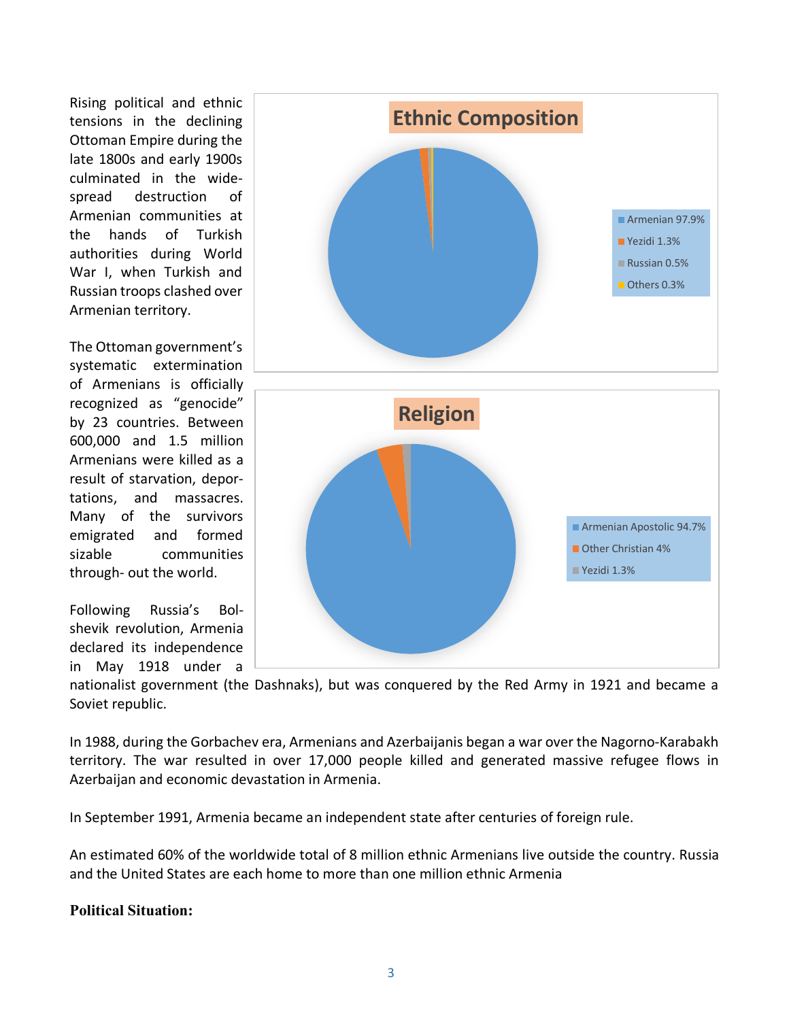Rising political and ethnic tensions in the declining Ottoman Empire during the late 1800s and early 1900s culminated in the widespread destruction of Armenian communities at the hands of Turkish authorities during World War I, when Turkish and Russian troops clashed over Armenian territory.

The Ottoman government's systematic extermination of Armenians is officially recognized as "genocide" by 23 countries. Between 600,000 and 1.5 million Armenians were killed as a result of starvation, deportations, and massacres. Many of the survivors emigrated and formed sizable communities through- out the world.

Following Russia's Bolshevik revolution, Armenia declared its independence in May 1918 under a





nationalist government (the Dashnaks), but was conquered by the Red Army in 1921 and became a Soviet republic.

In 1988, during the Gorbachev era, Armenians and Azerbaijanis began a war over the Nagorno-Karabakh territory. The war resulted in over 17,000 people killed and generated massive refugee flows in Azerbaijan and economic devastation in Armenia.

In September 1991, Armenia became an independent state after centuries of foreign rule.

<span id="page-2-0"></span>An estimated 60% of the worldwide total of 8 million ethnic Armenians live outside the country. Russia and the United States are each home to more than one million ethnic Armenia

# **Political Situation:**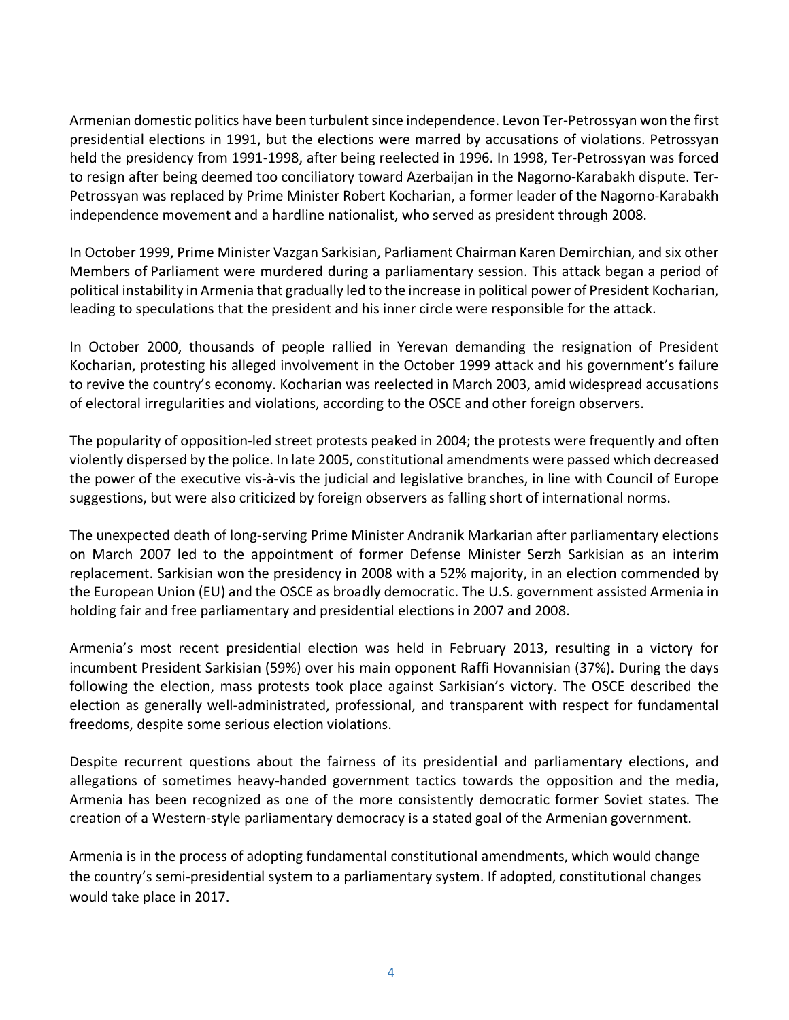Armenian domestic politics have been turbulent since independence. Levon Ter-Petrossyan won the first presidential elections in 1991, but the elections were marred by accusations of violations. Petrossyan held the presidency from 1991-1998, after being reelected in 1996. In 1998, Ter-Petrossyan was forced to resign after being deemed too conciliatory toward Azerbaijan in the Nagorno-Karabakh dispute. Ter-Petrossyan was replaced by Prime Minister Robert Kocharian, a former leader of the Nagorno-Karabakh independence movement and a hardline nationalist, who served as president through 2008.

In October 1999, Prime Minister Vazgan Sarkisian, Parliament Chairman Karen Demirchian, and six other Members of Parliament were murdered during a parliamentary session. This attack began a period of political instability in Armenia that gradually led to the increase in political power of President Kocharian, leading to speculations that the president and his inner circle were responsible for the attack.

In October 2000, thousands of people rallied in Yerevan demanding the resignation of President Kocharian, protesting his alleged involvement in the October 1999 attack and his government's failure to revive the country's economy. Kocharian was reelected in March 2003, amid widespread accusations of electoral irregularities and violations, according to the OSCE and other foreign observers.

The popularity of opposition-led street protests peaked in 2004; the protests were frequently and often violently dispersed by the police. In late 2005, constitutional amendments were passed which decreased the power of the executive vis-à-vis the judicial and legislative branches, in line with Council of Europe suggestions, but were also criticized by foreign observers as falling short of international norms.

The unexpected death of long-serving Prime Minister Andranik Markarian after parliamentary elections on March 2007 led to the appointment of former Defense Minister Serzh Sarkisian as an interim replacement. Sarkisian won the presidency in 2008 with a 52% majority, in an election commended by the European Union (EU) and the OSCE as broadly democratic. The U.S. government assisted Armenia in holding fair and free parliamentary and presidential elections in 2007 and 2008.

Armenia's most recent presidential election was held in February 2013, resulting in a victory for incumbent President Sarkisian (59%) over his main opponent Raffi Hovannisian (37%). During the days following the election, mass protests took place against Sarkisian's victory. The OSCE described the election as generally well-administrated, professional, and transparent with respect for fundamental freedoms, despite some serious election violations.

Despite recurrent questions about the fairness of its presidential and parliamentary elections, and allegations of sometimes heavy-handed government tactics towards the opposition and the media, Armenia has been recognized as one of the more consistently democratic former Soviet states. The creation of a Western-style parliamentary democracy is a stated goal of the Armenian government.

Armenia is in the process of adopting fundamental constitutional amendments, which would change the country's semi-presidential system to a parliamentary system. If adopted, constitutional changes would take place in 2017.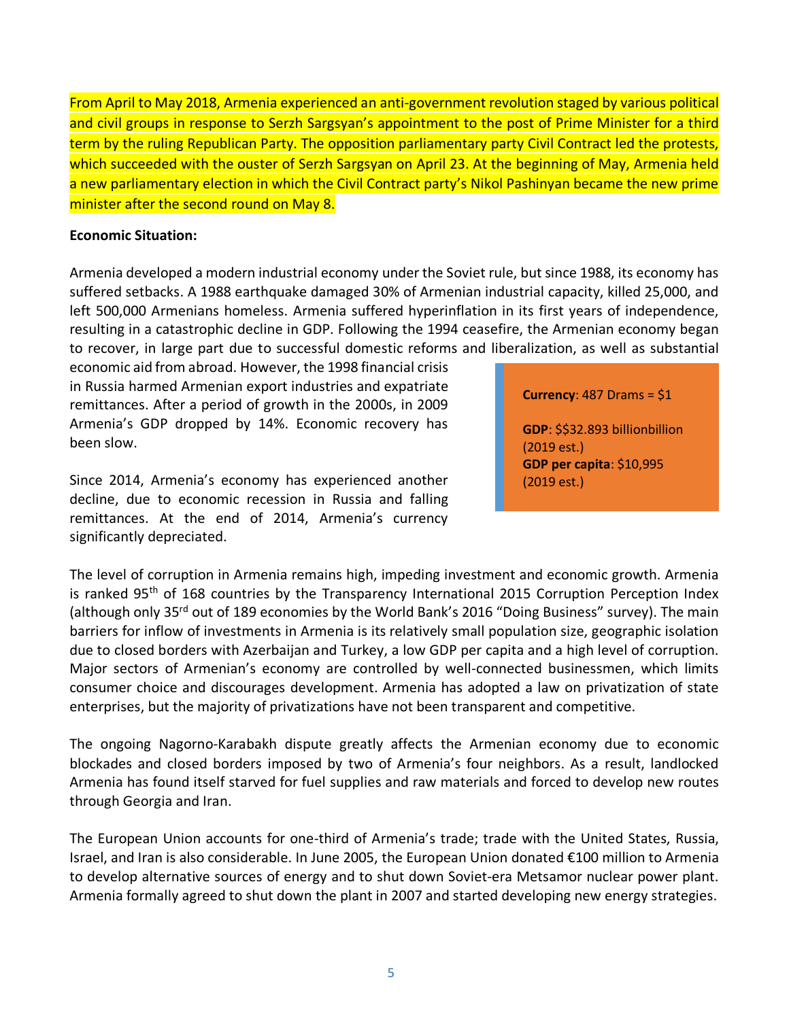From April to May 2018, Armenia experienced an anti-government revolution staged by various political and civil groups in response to Serzh Sargsyan's appointment to the post of Prime Minister for a third term by the ruling Republican Party. The opposition parliamentary party Civil Contract led the protests, which succeeded with the ouster of Serzh Sargsyan on April 23. At the beginning of May, Armenia held a new parliamentary election in which the Civil Contract party's Nikol Pashinyan became the new prime minister after the second round on May 8.

### **Economic Situation:**

Armenia developed a modern industrial economy under the Soviet rule, but since 1988, its economy has suffered setbacks. A 1988 earthquake damaged 30% of Armenian industrial capacity, killed 25,000, and left 500,000 Armenians homeless. Armenia suffered hyperinflation in its first years of independence, resulting in a catastrophic decline in GDP. Following the 1994 ceasefire, the Armenian economy began to recover, in large part due to successful domestic reforms and liberalization, as well as substantial

economic aid from abroad. However, the 1998 financial crisis in Russia harmed Armenian export industries and expatriate remittances. After a period of growth in the 2000s, in 2009 Armenia's GDP dropped by 14%. Economic recovery has been slow.

Since 2014, Armenia's economy has experienced another decline, due to economic recession in Russia and falling remittances. At the end of 2014, Armenia's currency significantly depreciated.

### **Currency**: 487 Drams = \$1

**GDP**: \$\$32.893 billionbillion (2019 est.) **GDP per capita**: \$10,995 (2019 est.)

The level of corruption in Armenia remains high, impeding investment and economic growth. Armenia is ranked 95<sup>th</sup> of 168 countries by the Transparency International 2015 Corruption Perception Index (although only 35<sup>rd</sup> out of 189 economies by the World Bank's 2016 "Doing Business" survey). The main barriers for inflow of investments in Armenia is its relatively small population size, geographic isolation due to closed borders with Azerbaijan and Turkey, a low GDP per capita and a high level of corruption. Major sectors of Armenian's economy are controlled by well-connected businessmen, which limits consumer choice and discourages development. Armenia has adopted a law on privatization of state enterprises, but the majority of privatizations have not been transparent and competitive.

The ongoing Nagorno-Karabakh dispute greatly affects the Armenian economy due to economic blockades and closed borders imposed by two of Armenia's four neighbors. As a result, landlocked Armenia has found itself starved for fuel supplies and raw materials and forced to develop new routes through Georgia and Iran.

The European Union accounts for one-third of Armenia's trade; trade with the United States, Russia, Israel, and Iran is also considerable. In June 2005, the European Union donated €100 million to Armenia to develop alternative sources of energy and to shut down Soviet-era Metsamor nuclear power plant. Armenia formally agreed to shut down the plant in 2007 and started developing new energy strategies.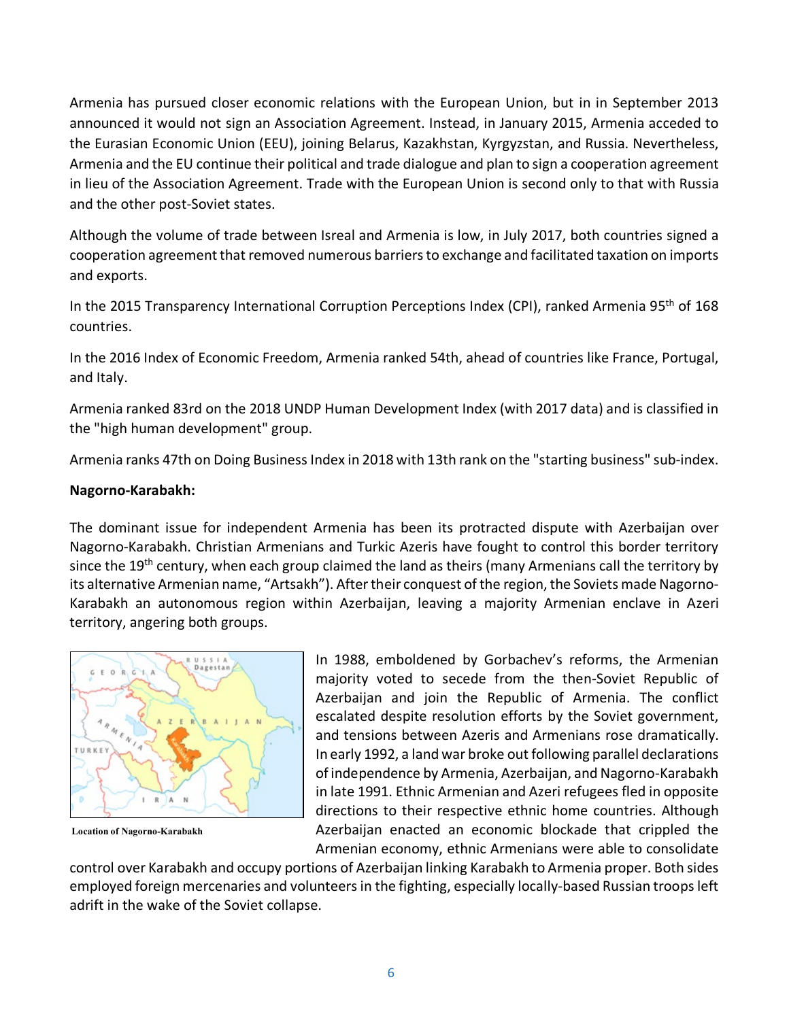Armenia has pursued closer economic relations with the European Union, but in in September 2013 announced it would not sign an Association Agreement. Instead, in January 2015, Armenia acceded to the Eurasian Economic Union (EEU), joining Belarus, Kazakhstan, Kyrgyzstan, and Russia. Nevertheless, Armenia and the EU continue their political and trade dialogue and plan to sign a cooperation agreement in lieu of the Association Agreement. Trade with the European Union is second only to that with Russia and the other post-Soviet states.

Although the volume of trade between Isreal and Armenia is low, in July 2017, both countries signed a cooperation agreement that removed numerous barriers to exchange and facilitated taxation on imports and exports.

In the 2015 Transparency International Corruption Perceptions Index (CPI), ranked Armenia 95th of 168 countries.

In the 2016 Index of Economic Freedom, Armenia ranked 54th, ahead of countries like France, Portugal, and Italy.

Armenia ranked 83rd on the 2018 UNDP Human Development Index (with 2017 data) and is classified in the "high human development" group.

Armenia ranks 47th on Doing Business Index in 2018 with 13th rank on the "starting business" sub-index.

### <span id="page-5-0"></span>**Nagorno-Karabakh:**

The dominant issue for independent Armenia has been its protracted dispute with Azerbaijan over Nagorno-Karabakh. Christian Armenians and Turkic Azeris have fought to control this border territory since the 19<sup>th</sup> century, when each group claimed the land as theirs (many Armenians call the territory by its alternative Armenian name, "Artsakh"). After their conquest of the region, the Soviets made Nagorno-Karabakh an autonomous region within Azerbaijan, leaving a majority Armenian enclave in Azeri territory, angering both groups.



**Location of Nagorno-Karabakh**

In 1988, emboldened by Gorbachev's reforms, the Armenian majority voted to secede from the then-Soviet Republic of Azerbaijan and join the Republic of Armenia. The conflict escalated despite resolution efforts by the Soviet government, and tensions between Azeris and Armenians rose dramatically. In early 1992, a land war broke out following parallel declarations of independence by Armenia, Azerbaijan, and Nagorno-Karabakh in late 1991. Ethnic Armenian and Azeri refugees fled in opposite directions to their respective ethnic home countries. Although Azerbaijan enacted an economic blockade that crippled the Armenian economy, ethnic Armenians were able to consolidate

control over Karabakh and occupy portions of Azerbaijan linking Karabakh to Armenia proper. Both sides employed foreign mercenaries and volunteers in the fighting, especially locally-based Russian troops left adrift in the wake of the Soviet collapse.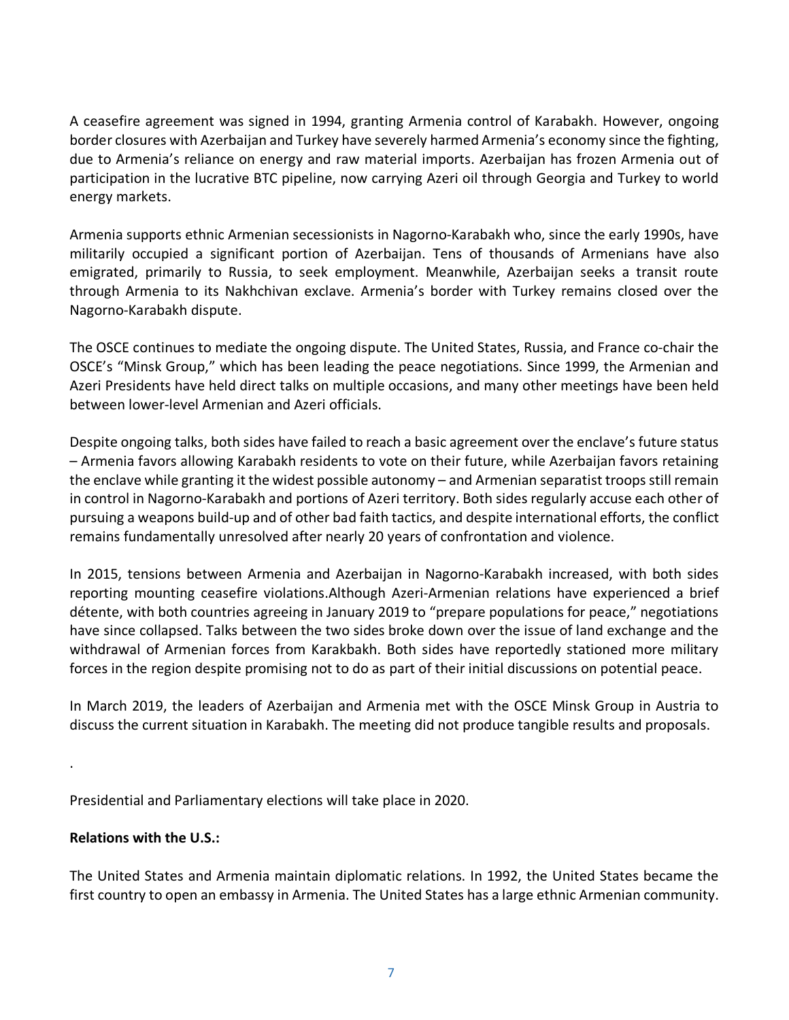A ceasefire agreement was signed in 1994, granting Armenia control of Karabakh. However, ongoing border closures with Azerbaijan and Turkey have severely harmed Armenia's economy since the fighting, due to Armenia's reliance on energy and raw material imports. Azerbaijan has frozen Armenia out of participation in the lucrative BTC pipeline, now carrying Azeri oil through Georgia and Turkey to world energy markets.

Armenia supports ethnic Armenian secessionists in Nagorno-Karabakh who, since the early 1990s, have militarily occupied a significant portion of Azerbaijan. Tens of thousands of Armenians have also emigrated, primarily to Russia, to seek employment. Meanwhile, Azerbaijan seeks a transit route through Armenia to its Nakhchivan exclave. Armenia's border with Turkey remains closed over the Nagorno-Karabakh dispute.

The OSCE continues to mediate the ongoing dispute. The United States, Russia, and France co-chair the OSCE's "Minsk Group," which has been leading the peace negotiations. Since 1999, the Armenian and Azeri Presidents have held direct talks on multiple occasions, and many other meetings have been held between lower-level Armenian and Azeri officials.

Despite ongoing talks, both sides have failed to reach a basic agreement over the enclave's future status – Armenia favors allowing Karabakh residents to vote on their future, while Azerbaijan favors retaining the enclave while granting it the widest possible autonomy – and Armenian separatist troops still remain in control in Nagorno-Karabakh and portions of Azeri territory. Both sides regularly accuse each other of pursuing a weapons build-up and of other bad faith tactics, and despite international efforts, the conflict remains fundamentally unresolved after nearly 20 years of confrontation and violence.

In 2015, tensions between Armenia and Azerbaijan in Nagorno-Karabakh increased, with both sides reporting mounting ceasefire violations.Although Azeri-Armenian relations have experienced a brief détente, with both countries agreeing in January 2019 to "prepare populations for peace," negotiations have since collapsed. Talks between the two sides broke down over the issue of land exchange and the withdrawal of Armenian forces from Karakbakh. Both sides have reportedly stationed more military forces in the region despite promising not to do as part of their initial discussions on potential peace.

In March 2019, the leaders of Azerbaijan and Armenia met with the OSCE Minsk Group in Austria to discuss the current situation in Karabakh. The meeting did not produce tangible results and proposals.

Presidential and Parliamentary elections will take place in 2020.

# <span id="page-6-0"></span>**Relations with the U.S.:**

.

The United States and Armenia maintain diplomatic relations. In 1992, the United States became the first country to open an embassy in Armenia. The United States has a large ethnic Armenian community.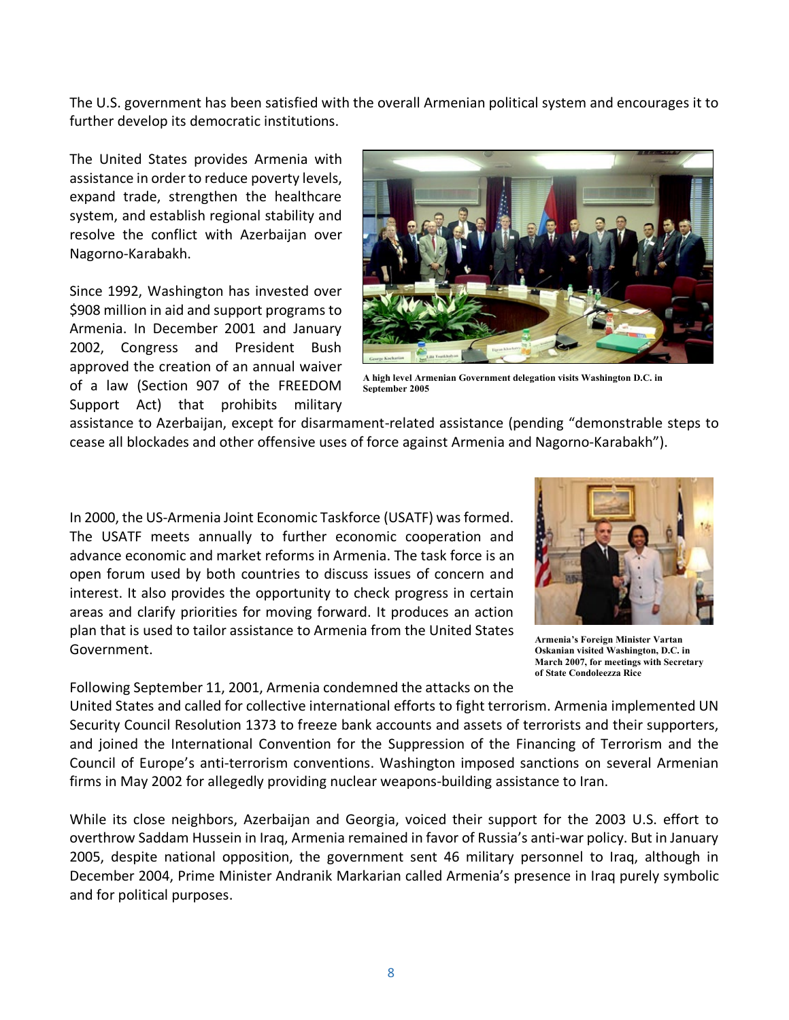The U.S. government has been satisfied with the overall Armenian political system and encourages it to further develop its democratic institutions.

The United States provides Armenia with assistance in order to reduce poverty levels, expand trade, strengthen the healthcare system, and establish regional stability and resolve the conflict with Azerbaijan over Nagorno-Karabakh.

Since 1992, Washington has invested over \$908 million in aid and support programs to Armenia. In December 2001 and January 2002, Congress and President Bush approved the creation of an annual waiver of a law (Section 907 of the FREEDOM Support Act) that prohibits military



**A high level Armenian Government delegation visits Washington D.C. in September 2005**

assistance to Azerbaijan, except for disarmament-related assistance (pending "demonstrable steps to cease all blockades and other offensive uses of force against Armenia and Nagorno-Karabakh").

In 2000, the US-Armenia Joint Economic Taskforce (USATF) was formed. The USATF meets annually to further economic cooperation and advance economic and market reforms in Armenia. The task force is an open forum used by both countries to discuss issues of concern and interest. It also provides the opportunity to check progress in certain areas and clarify priorities for moving forward. It produces an action plan that is used to tailor assistance to Armenia from the United States Government.



**Armenia's Foreign Minister Vartan Oskanian visited Washington, D.C. in March 2007, for meetings with Secretary of State Condoleezza Rice**

Following September 11, 2001, Armenia condemned the attacks on the

United States and called for collective international efforts to fight terrorism. Armenia implemented UN Security Council Resolution 1373 to freeze bank accounts and assets of terrorists and their supporters, and joined the International Convention for the Suppression of the Financing of Terrorism and the Council of Europe's anti-terrorism conventions. Washington imposed sanctions on several Armenian firms in May 2002 for allegedly providing nuclear weapons-building assistance to Iran.

While its close neighbors, Azerbaijan and Georgia, voiced their support for the 2003 U.S. effort to overthrow Saddam Hussein in Iraq, Armenia remained in favor of Russia's anti-war policy. But in January 2005, despite national opposition, the government sent 46 military personnel to Iraq, although in December 2004, Prime Minister Andranik Markarian called Armenia's presence in Iraq purely symbolic and for political purposes.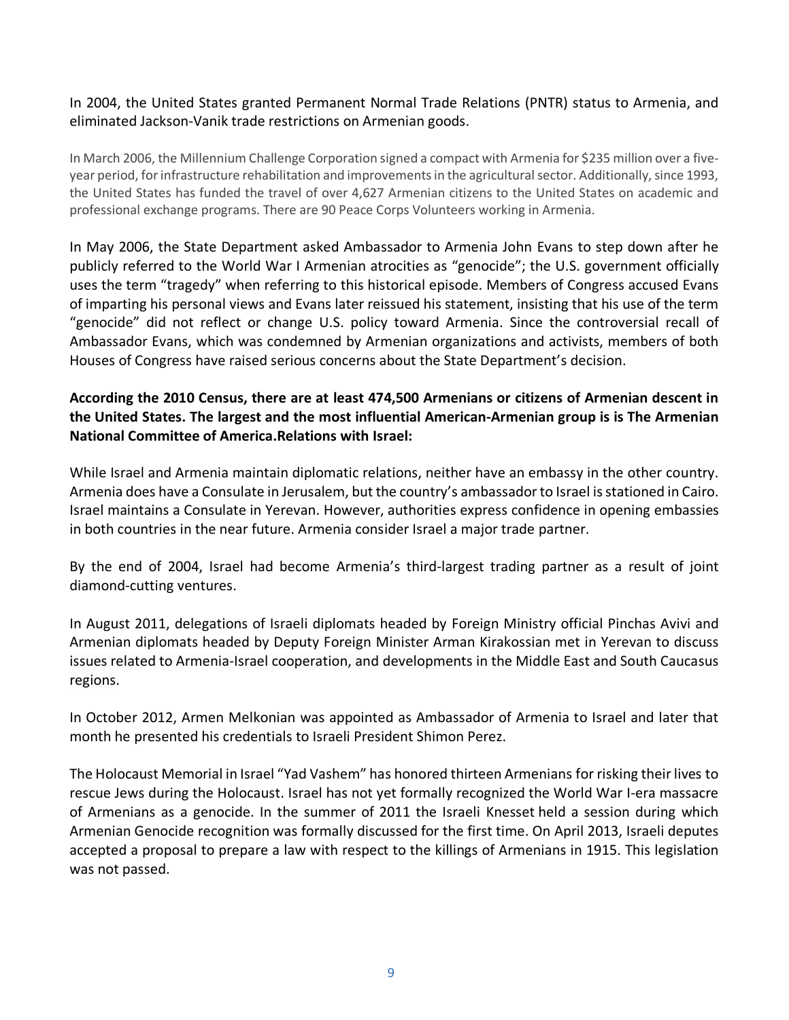### In 2004, the United States granted Permanent Normal Trade Relations (PNTR) status to Armenia, and eliminated Jackson-Vanik trade restrictions on Armenian goods.

In March 2006, the Millennium Challenge Corporation signed a compact with Armenia for \$235 million over a fiveyear period, for infrastructure rehabilitation and improvements in the agricultural sector. Additionally, since 1993, the United States has funded the travel of over 4,627 Armenian citizens to the United States on academic and professional exchange programs. There are 90 Peace Corps Volunteers working in Armenia.

In May 2006, the State Department asked Ambassador to Armenia John Evans to step down after he publicly referred to the World War I Armenian atrocities as "genocide"; the U.S. government officially uses the term "tragedy" when referring to this historical episode. Members of Congress accused Evans of imparting his personal views and Evans later reissued his statement, insisting that his use of the term "genocide" did not reflect or change U.S. policy toward Armenia. Since the controversial recall of Ambassador Evans, which was condemned by Armenian organizations and activists, members of both Houses of Congress have raised serious concerns about the State Department's decision.

# <span id="page-8-0"></span>**According the 2010 Census, there are at least 474,500 Armenians or citizens of Armenian descent in the United States. The largest and the most influential American-Armenian group is is The Armenian National Committee of America.Relations with Israel:**

While Israel and Armenia maintain diplomatic relations, neither have an embassy in the other country. Armenia does have a Consulate in Jerusalem, but the country's ambassador to Israel is stationed in Cairo. Israel maintains a Consulate in Yerevan. However, authorities express confidence in opening embassies in both countries in the near future. Armenia consider Israel a major trade partner.

By the end of 2004, Israel had become Armenia's third-largest trading partner as a result of joint diamond-cutting ventures.

In August 2011, delegations of Israeli diplomats headed by Foreign Ministry official Pinchas Avivi and Armenian diplomats headed by Deputy Foreign Minister Arman Kirakossian met in Yerevan to discuss issues related to Armenia-Israel cooperation, and developments in the Middle East and South Caucasus regions.

In October 2012, Armen Melkonian was appointed as Ambassador of Armenia to Israel and later that month he presented his credentials to Israeli President Shimon Perez.

The Holocaust Memorial in Israel "Yad Vashem" has honored thirteen Armenians for risking their lives to rescue Jews during the Holocaust. Israel has not yet formally recognized the World War I-era massacre of Armenians as a genocide. In the summer of 2011 the Israeli Knesset held a session during which Armenian Genocide recognition was formally discussed for the first time. On April 2013, Israeli deputes accepted a proposal to prepare a law with respect to the killings of Armenians in 1915. This legislation was not passed.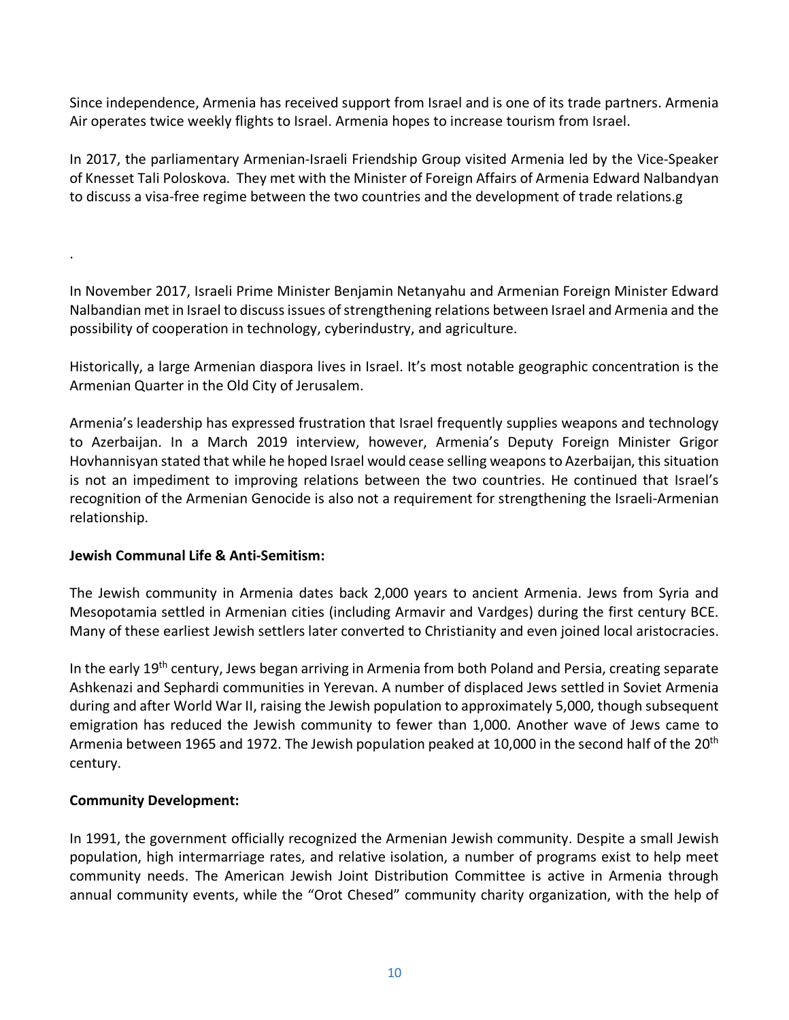Since independence, Armenia has received support from Israel and is one of its trade partners. Armenia Air operates twice weekly flights to Israel. Armenia hopes to increase tourism from Israel.

In 2017, the parliamentary Armenian-Israeli Friendship Group visited Armenia led by the Vice-Speaker of Knesset Tali Poloskova. They met with the Minister of Foreign Affairs of Armenia Edward Nalbandyan to discuss a visa-free regime between the two countries and the development of trade relations.g

In November 2017, Israeli Prime Minister Benjamin Netanyahu and Armenian Foreign Minister Edward Nalbandian met in Israel to discuss issues of strengthening relations between Israel and Armenia and the possibility of cooperation in technology, cyberindustry, and agriculture.

Historically, a large Armenian diaspora lives in Israel. It's most notable geographic concentration is the Armenian Quarter in the Old City of Jerusalem.

Armenia's leadership has expressed frustration that Israel frequently supplies weapons and technology to Azerbaijan. In a March 2019 interview, however, Armenia's Deputy Foreign Minister Grigor Hovhannisyan stated that while he hoped Israel would cease selling weapons to Azerbaijan, this situation is not an impediment to improving relations between the two countries. He continued that Israel's recognition of the Armenian Genocide is also not a requirement for strengthening the Israeli-Armenian relationship.

# <span id="page-9-0"></span>**Jewish Communal Life & Anti-Semitism:**

.

The Jewish community in Armenia dates back 2,000 years to ancient Armenia. Jews from Syria and Mesopotamia settled in Armenian cities (including Armavir and Vardges) during the first century BCE. Many of these earliest Jewish settlers later converted to Christianity and even joined local aristocracies.

In the early 19th century, Jews began arriving in Armenia from both Poland and Persia, creating separate Ashkenazi and Sephardi communities in Yerevan. A number of displaced Jews settled in Soviet Armenia during and after World War II, raising the Jewish population to approximately 5,000, though subsequent emigration has reduced the Jewish community to fewer than 1,000. Another wave of Jews came to Armenia between 1965 and 1972. The Jewish population peaked at 10,000 in the second half of the 20<sup>th</sup> century.

# **Community Development:**

In 1991, the government officially recognized the Armenian Jewish community. Despite a small Jewish population, high intermarriage rates, and relative isolation, a number of programs exist to help meet community needs. The American Jewish Joint Distribution Committee is active in Armenia through annual community events, while the "Orot Chesed" community charity organization, with the help of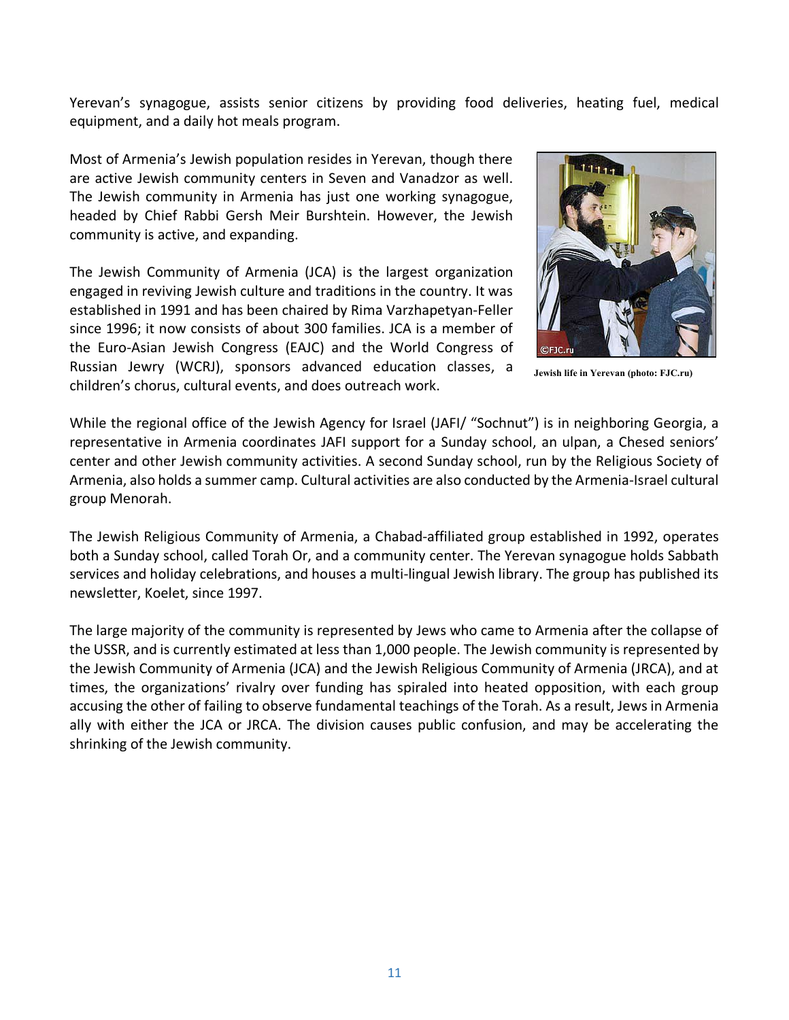Yerevan's synagogue, assists senior citizens by providing food deliveries, heating fuel, medical equipment, and a daily hot meals program.

Most of Armenia's Jewish population resides in Yerevan, though there are active Jewish community centers in Seven and Vanadzor as well. The Jewish community in Armenia has just one working synagogue, headed by Chief Rabbi Gersh Meir Burshtein. However, the Jewish community is active, and expanding.

The Jewish Community of Armenia (JCA) is the largest organization engaged in reviving Jewish culture and traditions in the country. It was established in 1991 and has been chaired by Rima Varzhapetyan-Feller since 1996; it now consists of about 300 families. JCA is a member of the Euro-Asian Jewish Congress (EAJC) and the World Congress of Russian Jewry (WCRJ), sponsors advanced education classes, a children's chorus, cultural events, and does outreach work.



**Jewish life in Yerevan (photo: FJC.ru)**

While the regional office of the Jewish Agency for Israel (JAFI/ "Sochnut") is in neighboring Georgia, a representative in Armenia coordinates JAFI support for a Sunday school, an ulpan, a Chesed seniors' center and other Jewish community activities. A second Sunday school, run by the Religious Society of Armenia, also holds a summer camp. Cultural activities are also conducted by the Armenia-Israel cultural group Menorah.

The Jewish Religious Community of Armenia, a Chabad-affiliated group established in 1992, operates both a Sunday school, called Torah Or, and a community center. The Yerevan synagogue holds Sabbath services and holiday celebrations, and houses a multi-lingual Jewish library. The group has published its newsletter, Koelet, since 1997.

The large majority of the community is represented by Jews who came to Armenia after the collapse of the USSR, and is currently estimated at less than 1,000 people. The Jewish community is represented by the Jewish Community of Armenia (JCA) and the Jewish Religious Community of Armenia (JRCA), and at times, the organizations' rivalry over funding has spiraled into heated opposition, with each group accusing the other of failing to observe fundamental teachings of the Torah. As a result, Jews in Armenia ally with either the JCA or JRCA. The division causes public confusion, and may be accelerating the shrinking of the Jewish community.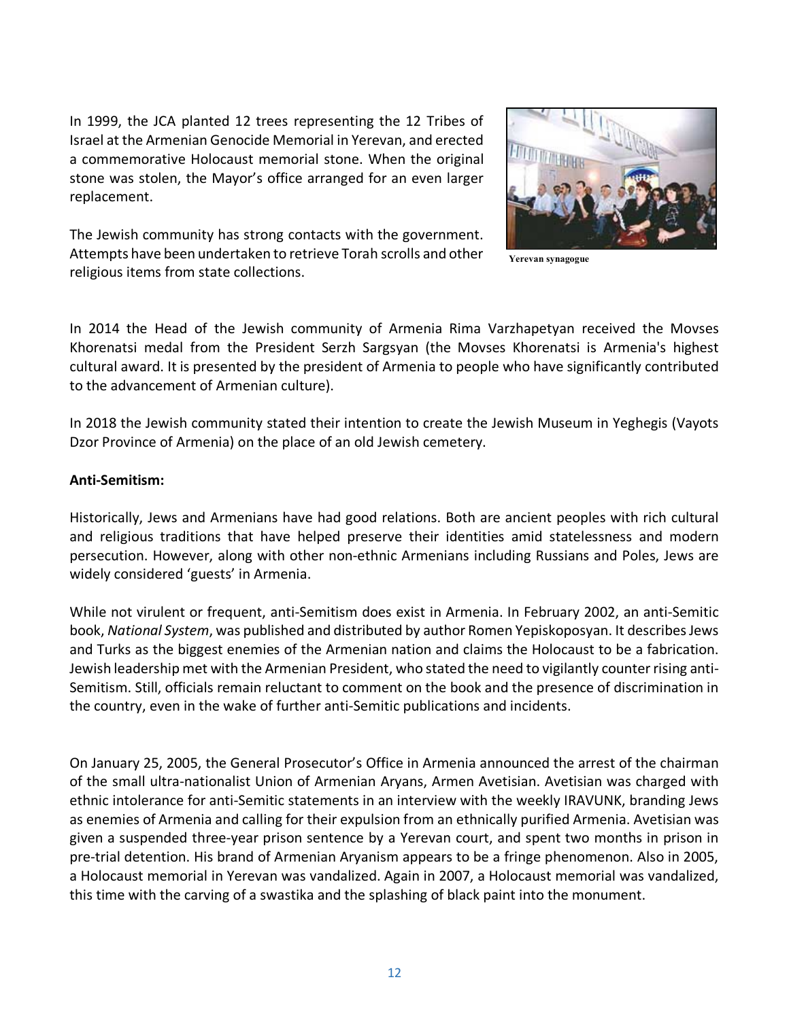In 1999, the JCA planted 12 trees representing the 12 Tribes of Israel at the Armenian Genocide Memorial in Yerevan, and erected a commemorative Holocaust memorial stone. When the original stone was stolen, the Mayor's office arranged for an even larger replacement.



The Jewish community has strong contacts with the government. Attempts have been undertaken to retrieve Torah scrolls and other religious items from state collections.

**Yerevan synagogue**

In 2014 the Head of the Jewish community of Armenia Rima Varzhapetyan received the Movses Khorenatsi medal from the President Serzh Sargsyan (the Movses Khorenatsi is Armenia's highest cultural award. It is presented by the president of Armenia to people who have significantly contributed to the advancement of Armenian culture).

In 2018 the Jewish community stated their intention to create the Jewish Museum in Yeghegis (Vayots Dzor Province of Armenia) on the place of an old Jewish cemetery.

### **Anti-Semitism:**

Historically, Jews and Armenians have had good relations. Both are ancient peoples with rich cultural and religious traditions that have helped preserve their identities amid statelessness and modern persecution. However, along with other non-ethnic Armenians including Russians and Poles, Jews are widely considered 'guests' in Armenia.

While not virulent or frequent, anti-Semitism does exist in Armenia. In February 2002, an anti-Semitic book, *National System*, was published and distributed by author Romen Yepiskoposyan. It describes Jews and Turks as the biggest enemies of the Armenian nation and claims the Holocaust to be a fabrication. Jewish leadership met with the Armenian President, who stated the need to vigilantly counter rising anti-Semitism. Still, officials remain reluctant to comment on the book and the presence of discrimination in the country, even in the wake of further anti-Semitic publications and incidents.

On January 25, 2005, the General Prosecutor's Office in Armenia announced the arrest of the chairman of the small ultra-nationalist Union of Armenian Aryans, Armen Avetisian. Avetisian was charged with ethnic intolerance for anti-Semitic statements in an interview with the weekly IRAVUNK, branding Jews as enemies of Armenia and calling for their expulsion from an ethnically purified Armenia. Avetisian was given a suspended three-year prison sentence by a Yerevan court, and spent two months in prison in pre-trial detention. His brand of Armenian Aryanism appears to be a fringe phenomenon. Also in 2005, a Holocaust memorial in Yerevan was vandalized. Again in 2007, a Holocaust memorial was vandalized, this time with the carving of a swastika and the splashing of black paint into the monument.